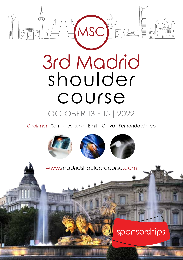

Chairmen: Samuel Antuña · Emilio Calvo · Fernando Marco

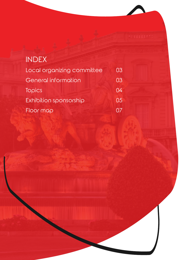| <b>INDEX</b>               |    |
|----------------------------|----|
| Local organizing committee | 03 |
| General information        | 03 |
| Topics                     | 04 |
| Exhibition sponsorship     | 05 |
| Floor map                  |    |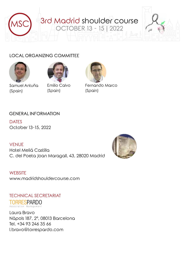

## LOCAL ORGANIZING COMMITTEE



(Spain)



Emilio Calvo (Spain)



Fernando Marco (Spain)

## GENERAL INFORMATION

**DATES** October 13-15, 2022

#### **VENUE**

Hotel Meliá Castilla C. del Poeta Joan Maragall, 43, 28020 Madrid



**WEBSITE** www.madridshouldercourse.com

TECHNICAL SECRETARIAT TORRESPARDO Association Management

Laura Bravo Nàpols 187, 2º, 08013 Barcelona Tel. +34 93 246 35 66 l.bravo@torrespardo.com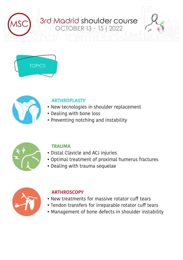# 3rd Madrid shoulder course<br>
OCTOBER 13 - 15 | 2022





# **ARTHROPLASTY**

- New tecnologies in shoulder replacement
- Dealing with bone loss
- Preventing notching and instability



# **TRAUMA**

- Distal Clavicle and ACJ injuries
- Optimal treatment of proximal humerus fractures
- Dealing with trauma sequelae



# **ARTHROSCOPY**

- New treatments for massive rotator cuff tears
- Tendon transfers for irreparable rotator cuff tears
- Management of bone defects in shoulder instability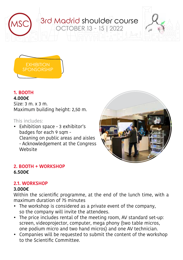



## **1. BOOTH**

#### **4.000€**

Size: 3 m. x 3 m. Maximum building height: 2,50 m.

## This includes:

• Exhibition space - 3 exhibitor's badges for each 9 sqm - Cleaning on public areas and aisles - Acknowledgement at the Congress Website



## **2. BOOTH + WORKSHOP 6.500€**

# **2.1. WORKSHOP**

#### **3.000€**

Within the scientific programme, at the end of the lunch time, with a maximum duration of 75 minutes

- The workshop is considered as a private event of the company, so the company will invite the attendees.
- The price includes rental of the meeting room, AV standard set-up: screen, videoprojector, computer, mega phony (two table micros, one podium micro and two hand micros) and one AV technician.
- Companies will be requested to submit the content of the workshop to the Scientific Committee.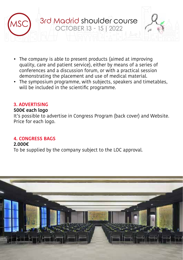

- The company is able to present products (aimed at improving quality, care and patient service), either by means of a series of conferences and a discussion forum, or with a practical session demonstrating the placement and use of medical material.
- The symposium programme, with subjects, speakers and timetables, will be included in the scientific programme.

#### **3. ADVERTISING**

#### **500€ each logo**

It's possible to advertise in Congress Program (back cover) and Website. Price for each logo.

## **4. CONGRESS BAGS**

#### **2.000€**

To be supplied by the company subject to the LOC approval.

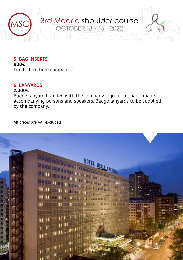

## **5. BAG INSERTS**

**800€** Limited to three companies.

#### **6. LANYARDS**

#### **2.000€**

Badge lanyard branded with the company logo for all participants, accompanying persons and speakers. Badge lanyards to be supplied by the company.

All prices are VAT excluded

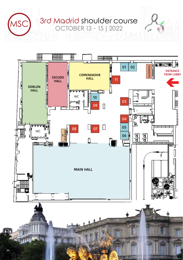

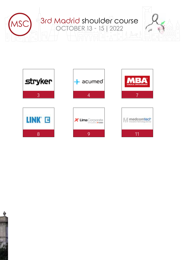



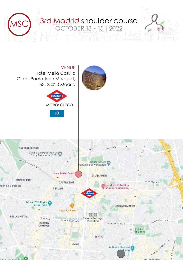

VENUE Hotel Meliá Castilla C. del Poeta Joan Maragall, 43, 28020 Madrid



10